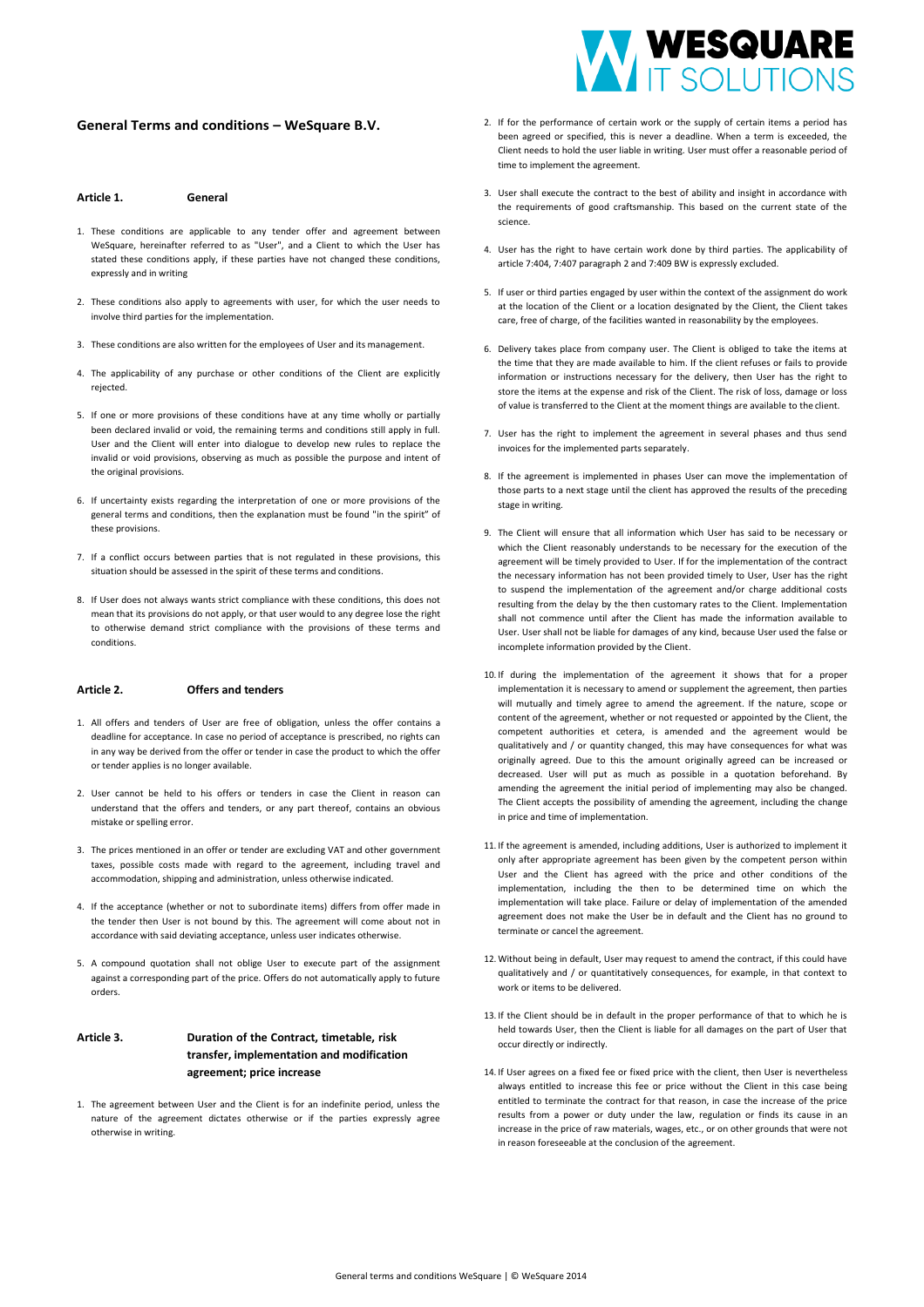# **General Terms and conditions – WeSquare B.V.**

#### **Article 1. General**

- 1. These conditions are applicable to any tender offer and agreement between WeSquare, hereinafter referred to as "User", and a Client to which the User has stated these conditions apply, if these parties have not changed these conditions, expressly and in writing
- 2. These conditions also apply to agreements with user, for which the user needs to involve third parties for the implementation.
- 3. These conditions are also written for the employees of User and its management.
- 4. The applicability of any purchase or other conditions of the Client are explicitly rejected.
- 5. If one or more provisions of these conditions have at any time wholly or partially been declared invalid or void, the remaining terms and conditions still apply in full. User and the Client will enter into dialogue to develop new rules to replace the invalid or void provisions, observing as much as possible the purpose and intent of the original provisions.
- 6. If uncertainty exists regarding the interpretation of one or more provisions of the general terms and conditions, then the explanation must be found "in the spirit" of these provisions.
- 7. If a conflict occurs between parties that is not regulated in these provisions, this situation should be assessed in the spirit of these terms and conditions.
- 8. If User does not always wants strict compliance with these conditions, this does not mean that its provisions do not apply, or that user would to any degree lose the right to otherwise demand strict compliance with the provisions of these terms and conditions.

## **Article 2. Offers and tenders**

- 1. All offers and tenders of User are free of obligation, unless the offer contains a deadline for acceptance. In case no period of acceptance is prescribed, no rights can in any way be derived from the offer or tender in case the product to which the offer or tender applies is no longer available.
- 2. User cannot be held to his offers or tenders in case the Client in reason can understand that the offers and tenders, or any part thereof, contains an obvious mistake or spelling error.
- 3. The prices mentioned in an offer or tender are excluding VAT and other government taxes, possible costs made with regard to the agreement, including travel and accommodation, shipping and administration, unless otherwise indicated.
- 4. If the acceptance (whether or not to subordinate items) differs from offer made in the tender then User is not bound by this. The agreement will come about not in accordance with said deviating acceptance, unless user indicates otherwise.
- 5. A compound quotation shall not oblige User to execute part of the assignment against a corresponding part of the price. Offers do not automatically apply to future orders.

# **Article 3. Duration of the Contract, timetable, risk transfer, implementation and modification agreement; price increase**

1. The agreement between User and the Client is for an indefinite period, unless the nature of the agreement dictates otherwise or if the parties expressly agree otherwise in writing.



- 2. If for the performance of certain work or the supply of certain items a period has been agreed or specified, this is never a deadline. When a term is exceeded, the Client needs to hold the user liable in writing. User must offer a reasonable period of time to implement the agreement.
- 3. User shall execute the contract to the best of ability and insight in accordance with the requirements of good craftsmanship. This based on the current state of the science.
- 4. User has the right to have certain work done by third parties. The applicability of article 7:404, 7:407 paragraph 2 and 7:409 BW is expressly excluded.
- 5. If user or third parties engaged by user within the context of the assignment do work at the location of the Client or a location designated by the Client, the Client takes care, free of charge, of the facilities wanted in reasonability by the employees.
- 6. Delivery takes place from company user. The Client is obliged to take the items at the time that they are made available to him. If the client refuses or fails to provide information or instructions necessary for the delivery, then User has the right to store the items at the expense and risk of the Client. The risk of loss, damage or loss of value is transferred to the Client at the moment things are available to the client.
- 7. User has the right to implement the agreement in several phases and thus send invoices for the implemented parts separately.
- 8. If the agreement is implemented in phases User can move the implementation of those parts to a next stage until the client has approved the results of the preceding stage in writing.
- 9. The Client will ensure that all information which User has said to be necessary or which the Client reasonably understands to be necessary for the execution of the agreement will be timely provided to User. If for the implementation of the contract the necessary information has not been provided timely to User, User has the right to suspend the implementation of the agreement and/or charge additional costs resulting from the delay by the then customary rates to the Client. Implementation shall not commence until after the Client has made the information available to User. User shall not be liable for damages of any kind, because User used the false or incomplete information provided by the Client.
- 10. If during the implementation of the agreement it shows that for a proper implementation it is necessary to amend or supplement the agreement, then parties will mutually and timely agree to amend the agreement. If the nature, scope or content of the agreement, whether or not requested or appointed by the Client, the competent authorities et cetera, is amended and the agreement would be qualitatively and / or quantity changed, this may have consequences for what was originally agreed. Due to this the amount originally agreed can be increased or decreased. User will put as much as possible in a quotation beforehand. By amending the agreement the initial period of implementing may also be changed. The Client accepts the possibility of amending the agreement, including the change in price and time of implementation.
- 11. If the agreement is amended, including additions, User is authorized to implement it only after appropriate agreement has been given by the competent person within User and the Client has agreed with the price and other conditions of the implementation, including the then to be determined time on which the implementation will take place. Failure or delay of implementation of the amended agreement does not make the User be in default and the Client has no ground to terminate or cancel the agreement.
- 12. Without being in default, User may request to amend the contract, if this could have qualitatively and / or quantitatively consequences, for example, in that context to work or items to be delivered.
- 13. If the Client should be in default in the proper performance of that to which he is held towards User, then the Client is liable for all damages on the part of User that occur directly or indirectly.
- 14. If User agrees on a fixed fee or fixed price with the client, then User is nevertheless always entitled to increase this fee or price without the Client in this case being entitled to terminate the contract for that reason, in case the increase of the price results from a power or duty under the law, regulation or finds its cause in an increase in the price of raw materials, wages, etc., or on other grounds that were not in reason foreseeable at the conclusion of the agreement.